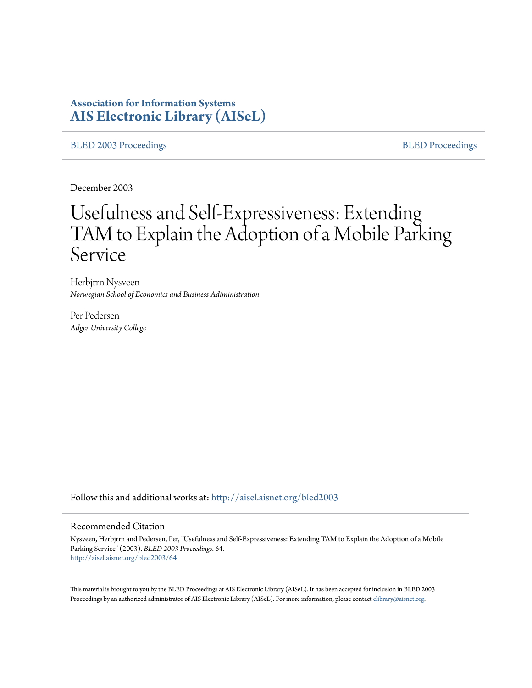## **Association for Information Systems [AIS Electronic Library \(AISeL\)](http://aisel.aisnet.org?utm_source=aisel.aisnet.org%2Fbled2003%2F64&utm_medium=PDF&utm_campaign=PDFCoverPages)**

[BLED 2003 Proceedings](http://aisel.aisnet.org/bled2003?utm_source=aisel.aisnet.org%2Fbled2003%2F64&utm_medium=PDF&utm_campaign=PDFCoverPages) and the state of the state of the [BLED Proceedings](http://aisel.aisnet.org/bled?utm_source=aisel.aisnet.org%2Fbled2003%2F64&utm_medium=PDF&utm_campaign=PDFCoverPages) and the BLED Proceedings and the BLED Proceedings and the BLED Proceedings and the BLED Proceedings and the BLED Proceedings and the BLED Proceedings

December 2003

# Usefulness and Self-Expressiveness: Extending TAM to Explain the Adoption of a Mobile Parking Service

Herbjrrn Nysveen *Norwegian School of Economics and Business Adiministration*

Per Pedersen *Adger University College*

Follow this and additional works at: [http://aisel.aisnet.org/bled2003](http://aisel.aisnet.org/bled2003?utm_source=aisel.aisnet.org%2Fbled2003%2F64&utm_medium=PDF&utm_campaign=PDFCoverPages)

#### Recommended Citation

Nysveen, Herbjrrn and Pedersen, Per, "Usefulness and Self-Expressiveness: Extending TAM to Explain the Adoption of a Mobile Parking Service" (2003). *BLED 2003 Proceedings*. 64. [http://aisel.aisnet.org/bled2003/64](http://aisel.aisnet.org/bled2003/64?utm_source=aisel.aisnet.org%2Fbled2003%2F64&utm_medium=PDF&utm_campaign=PDFCoverPages)

This material is brought to you by the BLED Proceedings at AIS Electronic Library (AISeL). It has been accepted for inclusion in BLED 2003 Proceedings by an authorized administrator of AIS Electronic Library (AISeL). For more information, please contact [elibrary@aisnet.org](mailto:elibrary@aisnet.org%3E).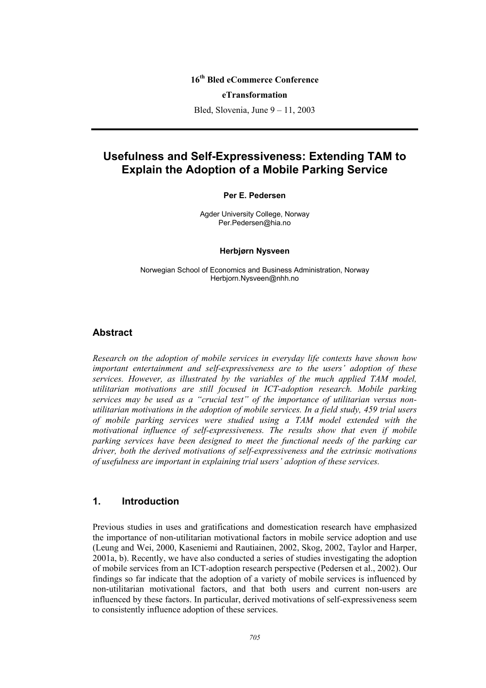#### **16th Bled eCommerce Conference**

#### **eTransformation**

Bled, Slovenia, June 9 – 11, 2003

## **Usefulness and Self-Expressiveness: Extending TAM to Explain the Adoption of a Mobile Parking Service**

#### **Per E. Pedersen**

Agder University College, Norway Per.Pedersen@hia.no

#### **Herbjørn Nysveen**

Norwegian School of Economics and Business Administration, Norway Herbjorn.Nysveen@nhh.no

#### **Abstract**

*Research on the adoption of mobile services in everyday life contexts have shown how important entertainment and self-expressiveness are to the users' adoption of these services. However, as illustrated by the variables of the much applied TAM model, utilitarian motivations are still focused in ICT-adoption research. Mobile parking services may be used as a "crucial test" of the importance of utilitarian versus nonutilitarian motivations in the adoption of mobile services. In a field study, 459 trial users of mobile parking services were studied using a TAM model extended with the motivational influence of self-expressiveness. The results show that even if mobile parking services have been designed to meet the functional needs of the parking car driver, both the derived motivations of self-expressiveness and the extrinsic motivations of usefulness are important in explaining trial users' adoption of these services.* 

#### **1. Introduction**

Previous studies in uses and gratifications and domestication research have emphasized the importance of non-utilitarian motivational factors in mobile service adoption and use (Leung and Wei, 2000, Kaseniemi and Rautiainen, 2002, Skog, 2002, Taylor and Harper, 2001a, b). Recently, we have also conducted a series of studies investigating the adoption of mobile services from an ICT-adoption research perspective (Pedersen et al., 2002). Our findings so far indicate that the adoption of a variety of mobile services is influenced by non-utilitarian motivational factors, and that both users and current non-users are influenced by these factors. In particular, derived motivations of self-expressiveness seem to consistently influence adoption of these services.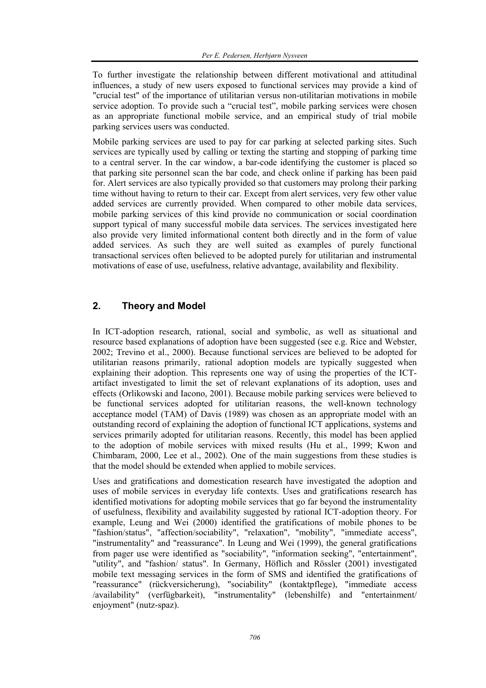To further investigate the relationship between different motivational and attitudinal influences, a study of new users exposed to functional services may provide a kind of "crucial test" of the importance of utilitarian versus non-utilitarian motivations in mobile service adoption. To provide such a "crucial test", mobile parking services were chosen as an appropriate functional mobile service, and an empirical study of trial mobile parking services users was conducted.

Mobile parking services are used to pay for car parking at selected parking sites. Such services are typically used by calling or texting the starting and stopping of parking time to a central server. In the car window, a bar-code identifying the customer is placed so that parking site personnel scan the bar code, and check online if parking has been paid for. Alert services are also typically provided so that customers may prolong their parking time without having to return to their car. Except from alert services, very few other value added services are currently provided. When compared to other mobile data services, mobile parking services of this kind provide no communication or social coordination support typical of many successful mobile data services. The services investigated here also provide very limited informational content both directly and in the form of value added services. As such they are well suited as examples of purely functional transactional services often believed to be adopted purely for utilitarian and instrumental motivations of ease of use, usefulness, relative advantage, availability and flexibility.

## **2. Theory and Model**

In ICT-adoption research, rational, social and symbolic, as well as situational and resource based explanations of adoption have been suggested (see e.g. Rice and Webster, 2002; Trevino et al., 2000). Because functional services are believed to be adopted for utilitarian reasons primarily, rational adoption models are typically suggested when explaining their adoption. This represents one way of using the properties of the ICTartifact investigated to limit the set of relevant explanations of its adoption, uses and effects (Orlikowski and Iacono, 2001). Because mobile parking services were believed to be functional services adopted for utilitarian reasons, the well-known technology acceptance model (TAM) of Davis (1989) was chosen as an appropriate model with an outstanding record of explaining the adoption of functional ICT applications, systems and services primarily adopted for utilitarian reasons. Recently, this model has been applied to the adoption of mobile services with mixed results (Hu et al., 1999; Kwon and Chimbaram, 2000, Lee et al., 2002). One of the main suggestions from these studies is that the model should be extended when applied to mobile services.

Uses and gratifications and domestication research have investigated the adoption and uses of mobile services in everyday life contexts. Uses and gratifications research has identified motivations for adopting mobile services that go far beyond the instrumentality of usefulness, flexibility and availability suggested by rational ICT-adoption theory. For example, Leung and Wei (2000) identified the gratifications of mobile phones to be "fashion/status", "affection/sociability", "relaxation", "mobility", "immediate access", "instrumentality" and "reassurance". In Leung and Wei (1999), the general gratifications from pager use were identified as "sociability", "information seeking", "entertainment", "utility", and "fashion/ status". In Germany, Höflich and Rössler (2001) investigated mobile text messaging services in the form of SMS and identified the gratifications of "reassurance" (rückversicherung), "sociability" (kontaktpflege), "immediate access /availability" (verfügbarkeit), "instrumentality" (lebenshilfe) and "entertainment/ enjoyment" (nutz-spaz).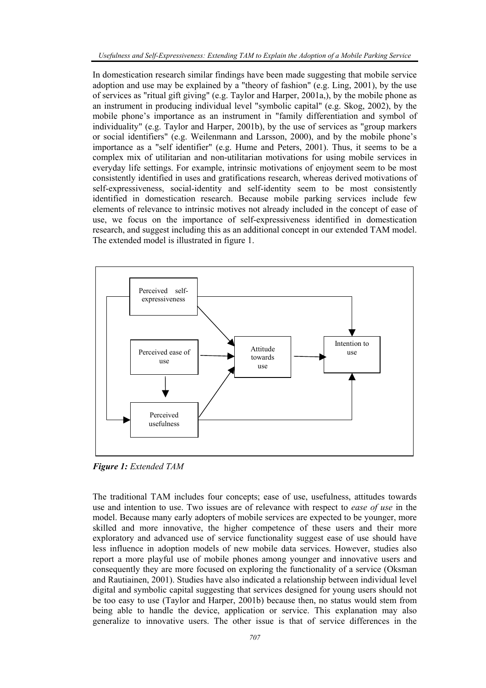In domestication research similar findings have been made suggesting that mobile service adoption and use may be explained by a "theory of fashion" (e.g. Ling, 2001), by the use of services as "ritual gift giving" (e.g. Taylor and Harper, 2001a,), by the mobile phone as an instrument in producing individual level "symbolic capital" (e.g. Skog, 2002), by the mobile phone's importance as an instrument in "family differentiation and symbol of individuality" (e.g. Taylor and Harper, 2001b), by the use of services as "group markers or social identifiers" (e.g. Weilenmann and Larsson, 2000), and by the mobile phone's importance as a "self identifier" (e.g. Hume and Peters, 2001). Thus, it seems to be a complex mix of utilitarian and non-utilitarian motivations for using mobile services in everyday life settings. For example, intrinsic motivations of enjoyment seem to be most consistently identified in uses and gratifications research, whereas derived motivations of self-expressiveness, social-identity and self-identity seem to be most consistently identified in domestication research. Because mobile parking services include few elements of relevance to intrinsic motives not already included in the concept of ease of use, we focus on the importance of self-expressiveness identified in domestication research, and suggest including this as an additional concept in our extended TAM model. The extended model is illustrated in figure 1.



*Figure 1: Extended TAM* 

The traditional TAM includes four concepts; ease of use, usefulness, attitudes towards use and intention to use. Two issues are of relevance with respect to *ease of use* in the model. Because many early adopters of mobile services are expected to be younger, more skilled and more innovative, the higher competence of these users and their more exploratory and advanced use of service functionality suggest ease of use should have less influence in adoption models of new mobile data services. However, studies also report a more playful use of mobile phones among younger and innovative users and consequently they are more focused on exploring the functionality of a service (Oksman and Rautiainen, 2001). Studies have also indicated a relationship between individual level digital and symbolic capital suggesting that services designed for young users should not be too easy to use (Taylor and Harper, 2001b) because then, no status would stem from being able to handle the device, application or service. This explanation may also generalize to innovative users. The other issue is that of service differences in the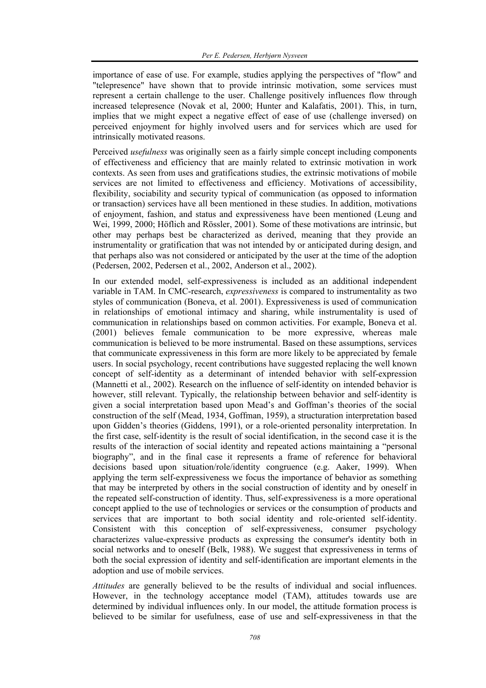importance of ease of use. For example, studies applying the perspectives of "flow" and "telepresence" have shown that to provide intrinsic motivation, some services must represent a certain challenge to the user. Challenge positively influences flow through increased telepresence (Novak et al, 2000; Hunter and Kalafatis, 2001). This, in turn, implies that we might expect a negative effect of ease of use (challenge inversed) on perceived enjoyment for highly involved users and for services which are used for intrinsically motivated reasons.

Perceived *usefulness* was originally seen as a fairly simple concept including components of effectiveness and efficiency that are mainly related to extrinsic motivation in work contexts. As seen from uses and gratifications studies, the extrinsic motivations of mobile services are not limited to effectiveness and efficiency. Motivations of accessibility, flexibility, sociability and security typical of communication (as opposed to information or transaction) services have all been mentioned in these studies. In addition, motivations of enjoyment, fashion, and status and expressiveness have been mentioned (Leung and Wei, 1999, 2000; Höflich and Rössler, 2001). Some of these motivations are intrinsic, but other may perhaps best be characterized as derived, meaning that they provide an instrumentality or gratification that was not intended by or anticipated during design, and that perhaps also was not considered or anticipated by the user at the time of the adoption (Pedersen, 2002, Pedersen et al., 2002, Anderson et al., 2002).

In our extended model, self-expressiveness is included as an additional independent variable in TAM. In CMC-research, *expressiveness* is compared to instrumentality as two styles of communication (Boneva, et al. 2001). Expressiveness is used of communication in relationships of emotional intimacy and sharing, while instrumentality is used of communication in relationships based on common activities. For example, Boneva et al. (2001) believes female communication to be more expressive, whereas male communication is believed to be more instrumental. Based on these assumptions, services that communicate expressiveness in this form are more likely to be appreciated by female users. In social psychology, recent contributions have suggested replacing the well known concept of self-identity as a determinant of intended behavior with self-expression (Mannetti et al., 2002). Research on the influence of self-identity on intended behavior is however, still relevant. Typically, the relationship between behavior and self-identity is given a social interpretation based upon Mead's and Goffman's theories of the social construction of the self (Mead, 1934, Goffman, 1959), a structuration interpretation based upon Gidden's theories (Giddens, 1991), or a role-oriented personality interpretation. In the first case, self-identity is the result of social identification, in the second case it is the results of the interaction of social identity and repeated actions maintaining a "personal biography", and in the final case it represents a frame of reference for behavioral decisions based upon situation/role/identity congruence (e.g. Aaker, 1999). When applying the term self-expressiveness we focus the importance of behavior as something that may be interpreted by others in the social construction of identity and by oneself in the repeated self-construction of identity. Thus, self-expressiveness is a more operational concept applied to the use of technologies or services or the consumption of products and services that are important to both social identity and role-oriented self-identity. Consistent with this conception of self-expressiveness, consumer psychology characterizes value-expressive products as expressing the consumer's identity both in social networks and to oneself (Belk, 1988). We suggest that expressiveness in terms of both the social expression of identity and self-identification are important elements in the adoption and use of mobile services.

*Attitudes* are generally believed to be the results of individual and social influences. However, in the technology acceptance model (TAM), attitudes towards use are determined by individual influences only. In our model, the attitude formation process is believed to be similar for usefulness, ease of use and self-expressiveness in that the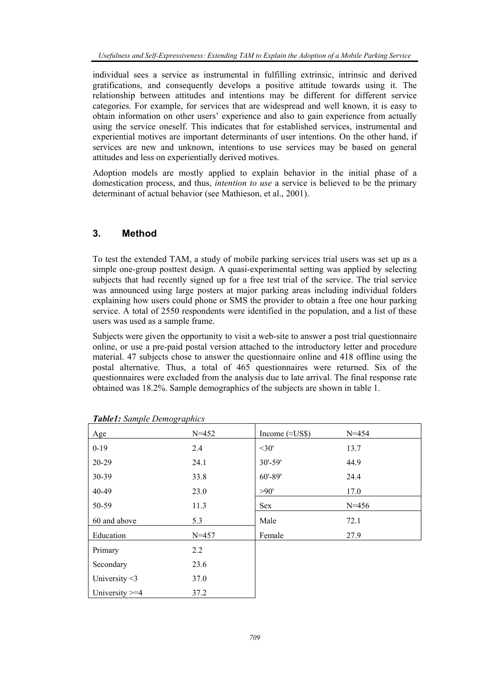individual sees a service as instrumental in fulfilling extrinsic, intrinsic and derived gratifications, and consequently develops a positive attitude towards using it. The relationship between attitudes and intentions may be different for different service categories. For example, for services that are widespread and well known, it is easy to obtain information on other users' experience and also to gain experience from actually using the service oneself. This indicates that for established services, instrumental and experiential motives are important determinants of user intentions. On the other hand, if services are new and unknown, intentions to use services may be based on general attitudes and less on experientially derived motives.

Adoption models are mostly applied to explain behavior in the initial phase of a domestication process, and thus, *intention to use* a service is believed to be the primary determinant of actual behavior (see Mathieson, et al., 2001).

### **3. Method**

To test the extended TAM, a study of mobile parking services trial users was set up as a simple one-group posttest design. A quasi-experimental setting was applied by selecting subjects that had recently signed up for a free test trial of the service. The trial service was announced using large posters at major parking areas including individual folders explaining how users could phone or SMS the provider to obtain a free one hour parking service. A total of 2550 respondents were identified in the population, and a list of these users was used as a sample frame.

Subjects were given the opportunity to visit a web-site to answer a post trial questionnaire online, or use a pre-paid postal version attached to the introductory letter and procedure material. 47 subjects chose to answer the questionnaire online and 418 offline using the postal alternative. Thus, a total of 465 questionnaires were returned. Six of the questionnaires were excluded from the analysis due to late arrival. The final response rate obtained was 18.2%. Sample demographics of the subjects are shown in table 1.

| Age               | $N = 452$ | Income $(\approx$ US\$) | $N = 454$ |
|-------------------|-----------|-------------------------|-----------|
| $0 - 19$          | 2.4       | $<$ 30'                 | 13.7      |
| 20-29             | 24.1      | $30' - 59'$             | 44.9      |
| 30-39             | 33.8      | $60' - 89'$             | 24.4      |
| 40-49             | 23.0      | >90'                    | 17.0      |
| 50-59             | 11.3      | Sex                     | $N = 456$ |
| 60 and above      | 5.3       | Male                    | 72.1      |
| Education         | $N = 457$ | Female                  | 27.9      |
| Primary           | 2.2       |                         |           |
| Secondary         | 23.6      |                         |           |
| University $<$ 3  | 37.0      |                         |           |
| University $>=$ 4 | 37.2      |                         |           |

*Table1: Sample Demographics*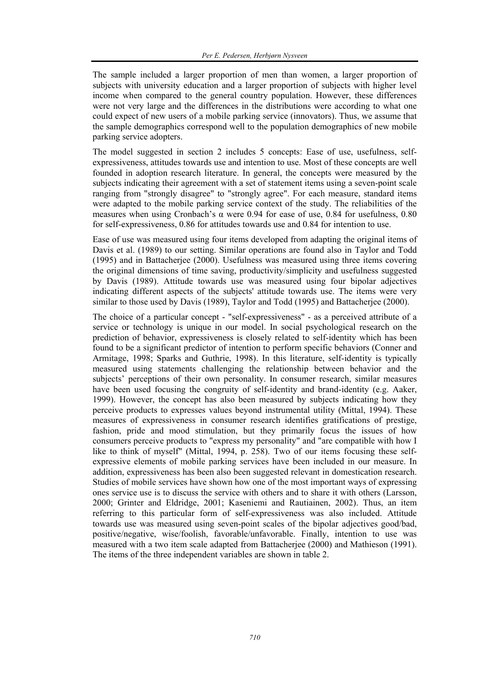The sample included a larger proportion of men than women, a larger proportion of subjects with university education and a larger proportion of subjects with higher level income when compared to the general country population. However, these differences were not very large and the differences in the distributions were according to what one could expect of new users of a mobile parking service (innovators). Thus, we assume that the sample demographics correspond well to the population demographics of new mobile parking service adopters.

The model suggested in section 2 includes 5 concepts: Ease of use, usefulness, selfexpressiveness, attitudes towards use and intention to use. Most of these concepts are well founded in adoption research literature. In general, the concepts were measured by the subjects indicating their agreement with a set of statement items using a seven-point scale ranging from "strongly disagree" to "strongly agree". For each measure, standard items were adapted to the mobile parking service context of the study. The reliabilities of the measures when using Cronbach's  $\alpha$  were 0.94 for ease of use, 0.84 for usefulness, 0.80 for self-expressiveness, 0.86 for attitudes towards use and 0.84 for intention to use.

Ease of use was measured using four items developed from adapting the original items of Davis et al. (1989) to our setting. Similar operations are found also in Taylor and Todd (1995) and in Battacherjee (2000). Usefulness was measured using three items covering the original dimensions of time saving, productivity/simplicity and usefulness suggested by Davis (1989). Attitude towards use was measured using four bipolar adjectives indicating different aspects of the subjects' attitude towards use. The items were very similar to those used by Davis (1989), Taylor and Todd (1995) and Battacherjee (2000).

The choice of a particular concept - "self-expressiveness" - as a perceived attribute of a service or technology is unique in our model. In social psychological research on the prediction of behavior, expressiveness is closely related to self-identity which has been found to be a significant predictor of intention to perform specific behaviors (Conner and Armitage, 1998; Sparks and Guthrie, 1998). In this literature, self-identity is typically measured using statements challenging the relationship between behavior and the subjects' perceptions of their own personality. In consumer research, similar measures have been used focusing the congruity of self-identity and brand-identity (e.g. Aaker, 1999). However, the concept has also been measured by subjects indicating how they perceive products to expresses values beyond instrumental utility (Mittal, 1994). These measures of expressiveness in consumer research identifies gratifications of prestige, fashion, pride and mood stimulation, but they primarily focus the issues of how consumers perceive products to "express my personality" and "are compatible with how I like to think of myself" (Mittal, 1994, p. 258). Two of our items focusing these selfexpressive elements of mobile parking services have been included in our measure. In addition, expressiveness has been also been suggested relevant in domestication research. Studies of mobile services have shown how one of the most important ways of expressing ones service use is to discuss the service with others and to share it with others (Larsson, 2000; Grinter and Eldridge, 2001; Kaseniemi and Rautiainen, 2002). Thus, an item referring to this particular form of self-expressiveness was also included. Attitude towards use was measured using seven-point scales of the bipolar adjectives good/bad, positive/negative, wise/foolish, favorable/unfavorable. Finally, intention to use was measured with a two item scale adapted from Battacherjee (2000) and Mathieson (1991). The items of the three independent variables are shown in table 2.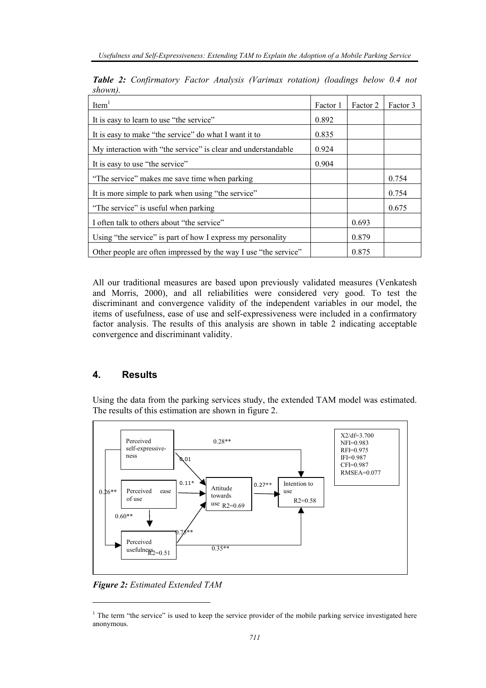| Item <sup>1</sup>                                               | Factor 1 | Factor 2 | Factor 3 |
|-----------------------------------------------------------------|----------|----------|----------|
| It is easy to learn to use "the service"                        | 0.892    |          |          |
| It is easy to make "the service" do what I want it to           |          |          |          |
| My interaction with "the service" is clear and understandable   |          |          |          |
| It is easy to use "the service"                                 |          |          |          |
| "The service" makes me save time when parking                   |          |          | 0.754    |
| It is more simple to park when using "the service"              |          |          | 0.754    |
| "The service" is useful when parking                            |          |          | 0.675    |
| I often talk to others about "the service"                      |          | 0.693    |          |
| Using "the service" is part of how I express my personality     |          | 0.879    |          |
| Other people are often impressed by the way I use "the service" |          | 0.875    |          |

*Table 2: Confirmatory Factor Analysis (Varimax rotation) (loadings below 0.4 not shown).* 

All our traditional measures are based upon previously validated measures (Venkatesh and Morris, 2000), and all reliabilities were considered very good. To test the discriminant and convergence validity of the independent variables in our model, the items of usefulness, ease of use and self-expressiveness were included in a confirmatory factor analysis. The results of this analysis are shown in table 2 indicating acceptable convergence and discriminant validity.

## **4. Results**

Using the data from the parking services study, the extended TAM model was estimated. The results of this estimation are shown in figure 2.



*Figure 2: Estimated Extended TAM* 

l

<sup>&</sup>lt;sup>1</sup> The term "the service" is used to keep the service provider of the mobile parking service investigated here anonymous.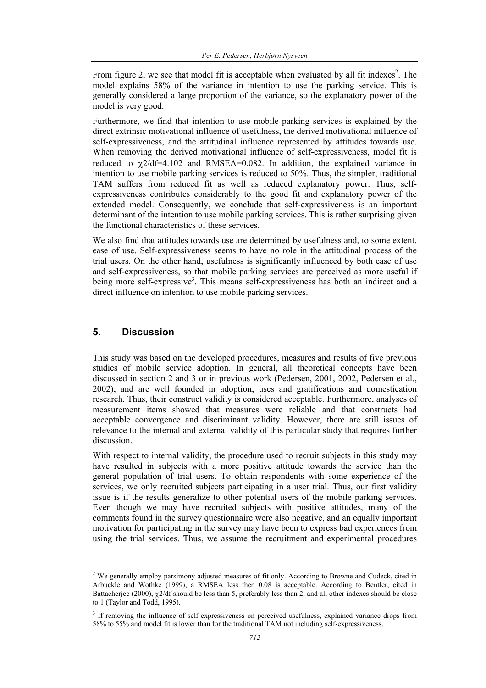From figure 2, we see that model fit is acceptable when evaluated by all fit indexes<sup>2</sup>. The model explains 58% of the variance in intention to use the parking service. This is generally considered a large proportion of the variance, so the explanatory power of the model is very good.

Furthermore, we find that intention to use mobile parking services is explained by the direct extrinsic motivational influence of usefulness, the derived motivational influence of self-expressiveness, and the attitudinal influence represented by attitudes towards use. When removing the derived motivational influence of self-expressiveness, model fit is reduced to  $\gamma$ 2/df=4.102 and RMSEA=0.082. In addition, the explained variance in intention to use mobile parking services is reduced to 50%. Thus, the simpler, traditional TAM suffers from reduced fit as well as reduced explanatory power. Thus, selfexpressiveness contributes considerably to the good fit and explanatory power of the extended model. Consequently, we conclude that self-expressiveness is an important determinant of the intention to use mobile parking services. This is rather surprising given the functional characteristics of these services.

We also find that attitudes towards use are determined by usefulness and, to some extent, ease of use. Self-expressiveness seems to have no role in the attitudinal process of the trial users. On the other hand, usefulness is significantly influenced by both ease of use and self-expressiveness, so that mobile parking services are perceived as more useful if being more self-expressive<sup>3</sup>. This means self-expressiveness has both an indirect and a direct influence on intention to use mobile parking services.

#### **5. Discussion**

l

This study was based on the developed procedures, measures and results of five previous studies of mobile service adoption. In general, all theoretical concepts have been discussed in section 2 and 3 or in previous work (Pedersen, 2001, 2002, Pedersen et al., 2002), and are well founded in adoption, uses and gratifications and domestication research. Thus, their construct validity is considered acceptable. Furthermore, analyses of measurement items showed that measures were reliable and that constructs had acceptable convergence and discriminant validity. However, there are still issues of relevance to the internal and external validity of this particular study that requires further discussion.

With respect to internal validity, the procedure used to recruit subjects in this study may have resulted in subjects with a more positive attitude towards the service than the general population of trial users. To obtain respondents with some experience of the services, we only recruited subjects participating in a user trial. Thus, our first validity issue is if the results generalize to other potential users of the mobile parking services. Even though we may have recruited subjects with positive attitudes, many of the comments found in the survey questionnaire were also negative, and an equally important motivation for participating in the survey may have been to express bad experiences from using the trial services. Thus, we assume the recruitment and experimental procedures

 $2$  We generally employ parsimony adjusted measures of fit only. According to Browne and Cudeck, cited in Arbuckle and Wothke (1999), a RMSEA less then 0.08 is acceptable. According to Bentler, cited in Battacherjee (2000), χ2/df should be less than 5, preferably less than 2, and all other indexes should be close to 1 (Taylor and Todd, 1995).

<sup>&</sup>lt;sup>3</sup> If removing the influence of self-expressiveness on perceived usefulness, explained variance drops from 58% to 55% and model fit is lower than for the traditional TAM not including self-expressiveness.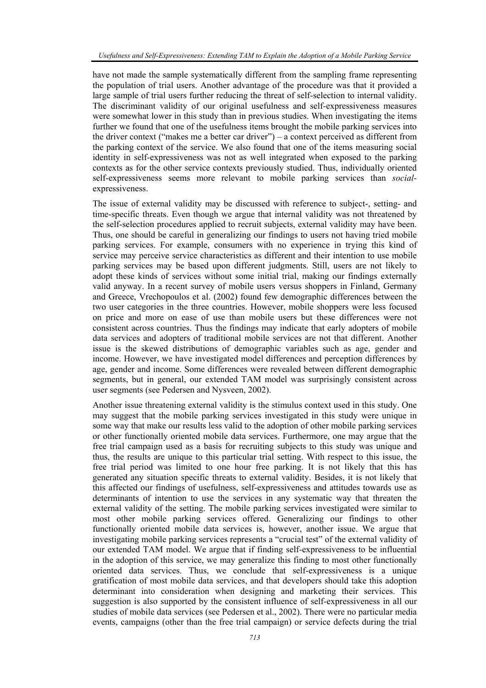have not made the sample systematically different from the sampling frame representing the population of trial users. Another advantage of the procedure was that it provided a large sample of trial users further reducing the threat of self-selection to internal validity. The discriminant validity of our original usefulness and self-expressiveness measures were somewhat lower in this study than in previous studies. When investigating the items further we found that one of the usefulness items brought the mobile parking services into the driver context ("makes me a better car driver") – a context perceived as different from the parking context of the service. We also found that one of the items measuring social identity in self-expressiveness was not as well integrated when exposed to the parking contexts as for the other service contexts previously studied. Thus, individually oriented self-expressiveness seems more relevant to mobile parking services than *social*expressiveness.

The issue of external validity may be discussed with reference to subject-, setting- and time-specific threats. Even though we argue that internal validity was not threatened by the self-selection procedures applied to recruit subjects, external validity may have been. Thus, one should be careful in generalizing our findings to users not having tried mobile parking services. For example, consumers with no experience in trying this kind of service may perceive service characteristics as different and their intention to use mobile parking services may be based upon different judgments. Still, users are not likely to adopt these kinds of services without some initial trial, making our findings externally valid anyway. In a recent survey of mobile users versus shoppers in Finland, Germany and Greece, Vrechopoulos et al. (2002) found few demographic differences between the two user categories in the three countries. However, mobile shoppers were less focused on price and more on ease of use than mobile users but these differences were not consistent across countries. Thus the findings may indicate that early adopters of mobile data services and adopters of traditional mobile services are not that different. Another issue is the skewed distributions of demographic variables such as age, gender and income. However, we have investigated model differences and perception differences by age, gender and income. Some differences were revealed between different demographic segments, but in general, our extended TAM model was surprisingly consistent across user segments (see Pedersen and Nysveen, 2002).

Another issue threatening external validity is the stimulus context used in this study. One may suggest that the mobile parking services investigated in this study were unique in some way that make our results less valid to the adoption of other mobile parking services or other functionally oriented mobile data services. Furthermore, one may argue that the free trial campaign used as a basis for recruiting subjects to this study was unique and thus, the results are unique to this particular trial setting. With respect to this issue, the free trial period was limited to one hour free parking. It is not likely that this has generated any situation specific threats to external validity. Besides, it is not likely that this affected our findings of usefulness, self-expressiveness and attitudes towards use as determinants of intention to use the services in any systematic way that threaten the external validity of the setting. The mobile parking services investigated were similar to most other mobile parking services offered. Generalizing our findings to other functionally oriented mobile data services is, however, another issue. We argue that investigating mobile parking services represents a "crucial test" of the external validity of our extended TAM model. We argue that if finding self-expressiveness to be influential in the adoption of this service, we may generalize this finding to most other functionally oriented data services. Thus, we conclude that self-expressiveness is a unique gratification of most mobile data services, and that developers should take this adoption determinant into consideration when designing and marketing their services. This suggestion is also supported by the consistent influence of self-expressiveness in all our studies of mobile data services (see Pedersen et al., 2002). There were no particular media events, campaigns (other than the free trial campaign) or service defects during the trial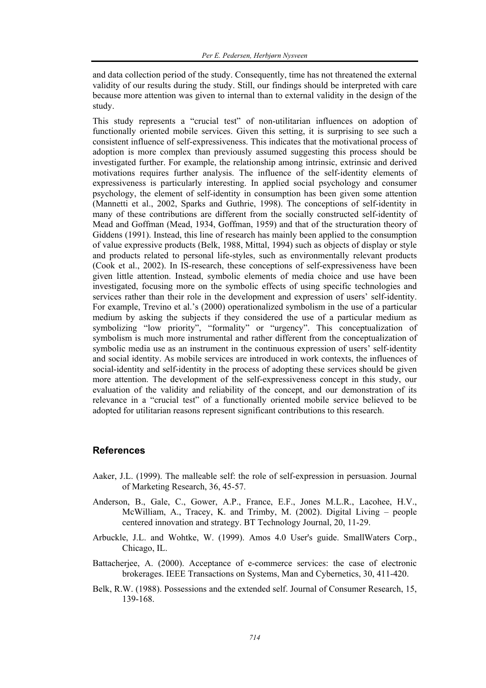and data collection period of the study. Consequently, time has not threatened the external validity of our results during the study. Still, our findings should be interpreted with care because more attention was given to internal than to external validity in the design of the study.

This study represents a "crucial test" of non-utilitarian influences on adoption of functionally oriented mobile services. Given this setting, it is surprising to see such a consistent influence of self-expressiveness. This indicates that the motivational process of adoption is more complex than previously assumed suggesting this process should be investigated further. For example, the relationship among intrinsic, extrinsic and derived motivations requires further analysis. The influence of the self-identity elements of expressiveness is particularly interesting. In applied social psychology and consumer psychology, the element of self-identity in consumption has been given some attention (Mannetti et al., 2002, Sparks and Guthrie, 1998). The conceptions of self-identity in many of these contributions are different from the socially constructed self-identity of Mead and Goffman (Mead, 1934, Goffman, 1959) and that of the structuration theory of Giddens (1991). Instead, this line of research has mainly been applied to the consumption of value expressive products (Belk, 1988, Mittal, 1994) such as objects of display or style and products related to personal life-styles, such as environmentally relevant products (Cook et al., 2002). In IS-research, these conceptions of self-expressiveness have been given little attention. Instead, symbolic elements of media choice and use have been investigated, focusing more on the symbolic effects of using specific technologies and services rather than their role in the development and expression of users' self-identity. For example, Trevino et al.'s (2000) operationalized symbolism in the use of a particular medium by asking the subjects if they considered the use of a particular medium as symbolizing "low priority", "formality" or "urgency". This conceptualization of symbolism is much more instrumental and rather different from the conceptualization of symbolic media use as an instrument in the continuous expression of users' self-identity and social identity. As mobile services are introduced in work contexts, the influences of social-identity and self-identity in the process of adopting these services should be given more attention. The development of the self-expressiveness concept in this study, our evaluation of the validity and reliability of the concept, and our demonstration of its relevance in a "crucial test" of a functionally oriented mobile service believed to be adopted for utilitarian reasons represent significant contributions to this research.

#### **References**

- Aaker, J.L. (1999). The malleable self: the role of self-expression in persuasion. Journal of Marketing Research, 36, 45-57.
- Anderson, B., Gale, C., Gower, A.P., France, E.F., Jones M.L.R., Lacohee, H.V., McWilliam, A., Tracey, K. and Trimby, M. (2002). Digital Living – people centered innovation and strategy. BT Technology Journal, 20, 11-29.
- Arbuckle, J.L. and Wohtke, W. (1999). Amos 4.0 User's guide. SmallWaters Corp., Chicago, IL.
- Battacherjee, A. (2000). Acceptance of e-commerce services: the case of electronic brokerages. IEEE Transactions on Systems, Man and Cybernetics, 30, 411-420.
- Belk, R.W. (1988). Possessions and the extended self. Journal of Consumer Research, 15, 139-168.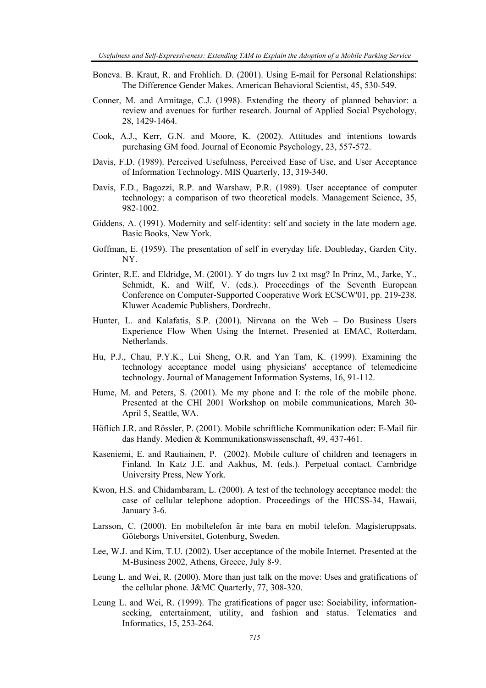- Boneva. B. Kraut, R. and Frohlich. D. (2001). Using E-mail for Personal Relationships: The Difference Gender Makes. American Behavioral Scientist, 45, 530-549.
- Conner, M. and Armitage, C.J. (1998). Extending the theory of planned behavior: a review and avenues for further research. Journal of Applied Social Psychology, 28, 1429-1464.
- Cook, A.J., Kerr, G.N. and Moore, K. (2002). Attitudes and intentions towards purchasing GM food. Journal of Economic Psychology, 23, 557-572.
- Davis, F.D. (1989). Perceived Usefulness, Perceived Ease of Use, and User Acceptance of Information Technology. MIS Quarterly, 13, 319-340.
- Davis, F.D., Bagozzi, R.P. and Warshaw, P.R. (1989). User acceptance of computer technology: a comparison of two theoretical models. Management Science, 35, 982-1002.
- Giddens, A. (1991). Modernity and self-identity: self and society in the late modern age. Basic Books, New York.
- Goffman, E. (1959). The presentation of self in everyday life. Doubleday, Garden City, NY.
- Grinter, R.E. and Eldridge, M. (2001). Y do tngrs luv 2 txt msg? In Prinz, M., Jarke, Y., Schmidt, K. and Wilf, V. (eds.). Proceedings of the Seventh European Conference on Computer-Supported Cooperative Work ECSCW'01, pp. 219-238. Kluwer Academic Publishers, Dordrecht.
- Hunter, L. and Kalafatis, S.P. (2001). Nirvana on the Web Do Business Users Experience Flow When Using the Internet. Presented at EMAC, Rotterdam, Netherlands.
- Hu, P.J., Chau, P.Y.K., Lui Sheng, O.R. and Yan Tam, K. (1999). Examining the technology acceptance model using physicians' acceptance of telemedicine technology. Journal of Management Information Systems, 16, 91-112.
- Hume, M. and Peters, S. (2001). Me my phone and I: the role of the mobile phone. Presented at the CHI 2001 Workshop on mobile communications, March 30- April 5, Seattle, WA.
- Höflich J.R. and Rössler, P. (2001). Mobile schriftliche Kommunikation oder: E-Mail für das Handy. Medien & Kommunikationswissenschaft, 49, 437-461.
- Kaseniemi, E. and Rautiainen, P. (2002). Mobile culture of children and teenagers in Finland. In Katz J.E. and Aakhus, M. (eds.). Perpetual contact. Cambridge University Press, New York.
- Kwon, H.S. and Chidambaram, L. (2000). A test of the technology acceptance model: the case of cellular telephone adoption. Proceedings of the HICSS-34, Hawaii, January 3-6.
- Larsson, C. (2000). En mobiltelefon är inte bara en mobil telefon. Magisteruppsats. Göteborgs Universitet, Gotenburg, Sweden.
- Lee, W.J. and Kim, T.U. (2002). User acceptance of the mobile Internet. Presented at the M-Business 2002, Athens, Greece, July 8-9.
- Leung L. and Wei, R. (2000). More than just talk on the move: Uses and gratifications of the cellular phone. J&MC Quarterly, 77, 308-320.
- Leung L. and Wei, R. (1999). The gratifications of pager use: Sociability, informationseeking, entertainment, utility, and fashion and status. Telematics and Informatics, 15, 253-264.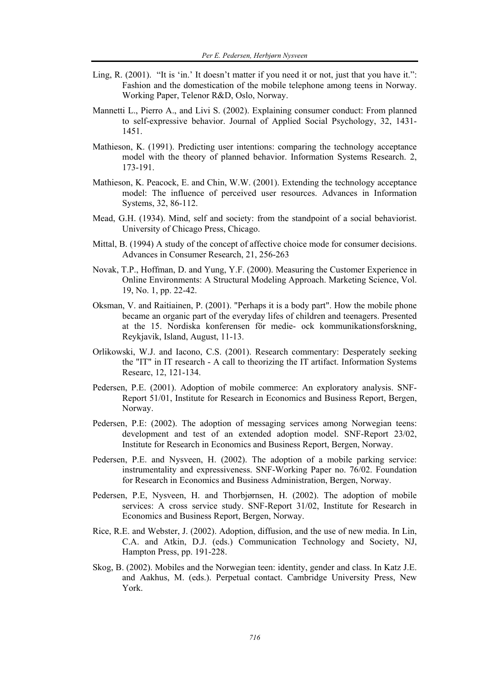- Ling, R. (2001). "It is 'in.' It doesn't matter if you need it or not, just that you have it.": Fashion and the domestication of the mobile telephone among teens in Norway. Working Paper, Telenor R&D, Oslo, Norway.
- Mannetti L., Pierro A., and Livi S. (2002). Explaining consumer conduct: From planned to self-expressive behavior. Journal of Applied Social Psychology, 32, 1431- 1451.
- Mathieson, K. (1991). Predicting user intentions: comparing the technology acceptance model with the theory of planned behavior. Information Systems Research. 2, 173-191.
- Mathieson, K. Peacock, E. and Chin, W.W. (2001). Extending the technology acceptance model: The influence of perceived user resources. Advances in Information Systems, 32, 86-112.
- Mead, G.H. (1934). Mind, self and society: from the standpoint of a social behaviorist. University of Chicago Press, Chicago.
- Mittal, B. (1994) A study of the concept of affective choice mode for consumer decisions. Advances in Consumer Research, 21, 256-263
- Novak, T.P., Hoffman, D. and Yung, Y.F. (2000). Measuring the Customer Experience in Online Environments: A Structural Modeling Approach. Marketing Science, Vol. 19, No. 1, pp. 22-42.
- Oksman, V. and Raitiainen, P. (2001). "Perhaps it is a body part". How the mobile phone became an organic part of the everyday lifes of children and teenagers. Presented at the 15. Nordiska konferensen för medie- ock kommunikationsforskning, Reykjavik, Island, August, 11-13.
- Orlikowski, W.J. and Iacono, C.S. (2001). Research commentary: Desperately seeking the "IT" in IT research - A call to theorizing the IT artifact. Information Systems Researc, 12, 121-134.
- Pedersen, P.E. (2001). Adoption of mobile commerce: An exploratory analysis. SNF-Report 51/01, Institute for Research in Economics and Business Report, Bergen, Norway.
- Pedersen, P.E: (2002). The adoption of messaging services among Norwegian teens: development and test of an extended adoption model. SNF-Report 23/02, Institute for Research in Economics and Business Report, Bergen, Norway.
- Pedersen, P.E. and Nysveen, H. (2002). The adoption of a mobile parking service: instrumentality and expressiveness. SNF-Working Paper no. 76/02. Foundation for Research in Economics and Business Administration, Bergen, Norway.
- Pedersen, P.E, Nysveen, H. and Thorbjørnsen, H. (2002). The adoption of mobile services: A cross service study. SNF-Report 31/02, Institute for Research in Economics and Business Report, Bergen, Norway.
- Rice, R.E. and Webster, J. (2002). Adoption, diffusion, and the use of new media. In Lin, C.A. and Atkin, D.J. (eds.) Communication Technology and Society, NJ, Hampton Press, pp. 191-228.
- Skog, B. (2002). Mobiles and the Norwegian teen: identity, gender and class. In Katz J.E. and Aakhus, M. (eds.). Perpetual contact. Cambridge University Press, New York.